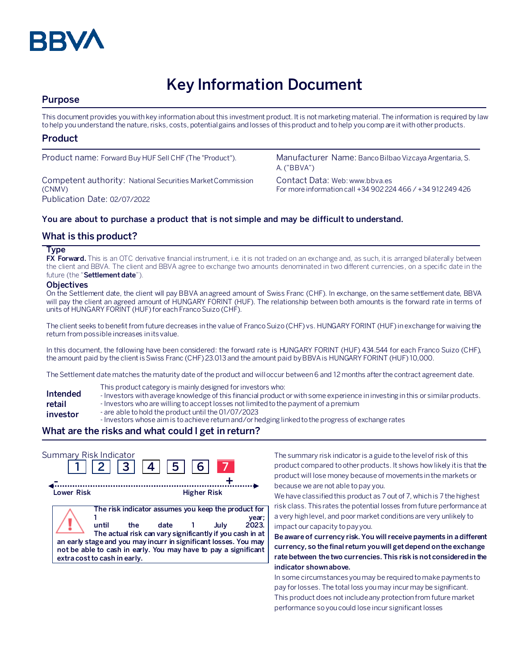

# **Key Information Document**

# **Purpose**

This document provides you with key information about this investment product. It is not marketing material. The information is required by law to help you understand the nature, risks, costs, potential gains and losses of this product and to help you compare it with other products.

# **Product**

Competent authority: National Securities Market Commission (CNMV) Publication Date: 02/07/2022

Product name: Forward Buy HUF Sell CHF (The "Product"). Manufacturer Name: Banco Bilbao Vizcaya Argentaria, S. A. ("BBVA")

> Contact Data: Web: www.bbva.es For more information call +34 902 224 466 / +34 912 249 426

#### **You are about to purchase a product that is not simple and may be difficult to understand.**

# **What is this product?**

#### **Type**

**FX Forward.** This is an OTC derivative financial instrument, i.e. it is not traded on an exchange and, as such, it is arranged bilaterally between the client and BBVA. The client and BBVA agree to exchange two amounts denominated in two different currencies, on a specific date in the future (the "**Settlement date**").

#### **Objectives**

On the Settlement date, the client will pay BBVA an agreed amount of Swiss Franc (CHF). In exchange, on the same settlement date, BBVA will pay the client an agreed amount of HUNGARY FORINT (HUF). The relationship between both amounts is the forward rate in terms of units of HUNGARY FORINT (HUF)for each Franco Suizo (CHF).

The client seeks to benefit from future decreases in the value of Franco Suizo (CHF) vs. HUNGARY FORINT (HUF) in exchange for waiving the return from possible increases in its value.

In this document, the following have been considered: the forward rate is HUNGARY FORINT (HUF) 434.544 for each Franco Suizo (CHF), the amount paid by the client is Swiss Franc (CHF) 23.013and the amount paid by BBVA is HUNGARY FORINT (HUF) 10,000.

The Settlement date matches the maturity date of the product and will occur between 6 and 12 months after the contract agreement date.

- This product category is mainly designed for investors who:
- **Intended**  - Investors with average knowledge of this financial product or with some experience in investing in this or similar products.
- **retail**  - Investors who are willing to accept losses not limited to the payment of a premium
- **investor** - are able to hold the product until the 01/07/2023
	- Investors whose aim is to achieve return and/or hedging linked to the progress of exchange rates

# **What are the risks and what could I get in return?**

| Summary Risk Indicator                                                                                                                                              |       | $2 \mid 3 \mid 4 \mid$ | <b>511</b>                                                                                                              | 6 <sup>1</sup>     |      |                |
|---------------------------------------------------------------------------------------------------------------------------------------------------------------------|-------|------------------------|-------------------------------------------------------------------------------------------------------------------------|--------------------|------|----------------|
| Lower Risk                                                                                                                                                          |       |                        |                                                                                                                         | <b>Higher Risk</b> |      |                |
| an early stage and you may incurr in significant losses. You may<br>not be able to cash in early. You may have to pay a significant<br>extra cost to cash in early. | until | the.                   | The risk indicator assumes you keep the product for<br>date<br>The actual risk can vary significantly if you cash in at |                    | July | year;<br>2023. |

The summary risk indicator is a guide to the level of risk of this product compared to other products. It shows how likely it is that the product will lose money because of movements in the markets or because we are not able to pay you.

We have classified this product as 7 out of 7, which is 7 the highest risk class. This rates the potential losses from future performance at a very high level, and poor market conditions are very unlikely to impact our capacity to pay you.

**Be aware of currency risk. You will receive payments in a different currency, so the final return you will get depend on the exchange rate between the two currencies. This risk is not considered in the indicator shown above.**

In some circumstances you may be required to make payments to pay for losses. The total loss you may incur may be significant. This product does not include any protection from future market performance so you could lose incur significant losses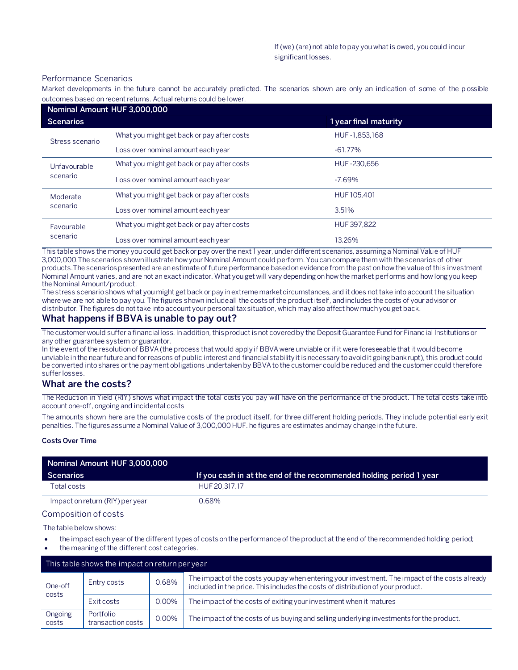#### Performance Scenarios

Market developments in the future cannot be accurately predicted. The scenarios shown are only an indication of some of the p ossible outcomes based on recent returns. Actual returns could be lower.

|                          | Nominal Amount HUF 3,000,000               |                       |  |
|--------------------------|--------------------------------------------|-----------------------|--|
| <b>Scenarios</b>         |                                            | 1 year final maturity |  |
| Stress scenario          | What you might get back or pay after costs | HUF-1,853,168         |  |
|                          | Loss over nominal amount each year         | $-61.77%$             |  |
| Unfavourable<br>scenario | What you might get back or pay after costs | HUF-230.656           |  |
|                          | Loss over nominal amount each year         | $-7.69%$              |  |
| Moderate<br>scenario     | What you might get back or pay after costs | HUF 105.401           |  |
|                          | Loss over nominal amount each year         | 3.51%                 |  |
| Favourable<br>scenario   | What you might get back or pay after costs | HUF 397.822           |  |
|                          | Loss over nominal amount each year         | 13.26%                |  |

This table shows the money you could get back or pay over the next 1 year, under different scenarios, assuming a Nominal Value of HUF 3,000,000.The scenarios shown illustrate how your Nominal Amount could perform. You can compare them with the scenarios of other products.The scenarios presented are an estimate of future performance based on evidence from the past on how the value of this investment Nominal Amount varies, and are not an exact indicator. What you get will vary depending on how the market performs and how long you keep the Nominal Amount/product.

The stress scenario shows what you might get back or pay in extreme market circumstances, and it does not take into account the situation where we are not able to pay you. The figures shown include all the costs of the product itself, and includes the costs of your advisor or distributor. The figures do not take into account your personal tax situation, which may also affect how much you get back.

# **What happens if BBVA is unable to pay out?**

The customer would suffer a financial loss. In addition, this product is not covered by the Deposit Guarantee Fund for Financial Institutions or any other guarantee system or guarantor.

In the event of the resolution of BBVA (the process that would apply if BBVA were unviable or if it were foreseeable that it would become unviable in the near future and for reasons of public interest and financial stability it is necessary to avoid it going bankrupt), this product could be converted into shares or the payment obligations undertaken by BBVA to the customer could be reduced and the customer could therefore suffer losses.

# **What are the costs?**

The Reduction in Yield (RIY) shows what impact the total costs you pay will have on the performance of the product. The total costs take into account one-off, ongoing and incidental costs

The amounts shown here are the cumulative costs of the product itself, for three different holding periods. They include potential early exit penalties. The figures assume a Nominal Value of 3,000,000 HUF. he figures are estimates and may change in the future.

#### **Costs Over Time**

| Nominal Amount HUF 3,000,000    |                                                                    |
|---------------------------------|--------------------------------------------------------------------|
| Scenarios                       | If you cash in at the end of the recommended holding period 1 year |
| Total costs                     | HUF 20.317.17                                                      |
| Impact on return (RIY) per year | 0.68%                                                              |

Composition of costs

The table below shows:

- the impact each year of the different types of costs on the performance of the product at the end of the recommended holding period;
- the meaning of the different cost categories.

| This table shows the impact on return per year |                                |       |                                                                                                                                                                                   |  |
|------------------------------------------------|--------------------------------|-------|-----------------------------------------------------------------------------------------------------------------------------------------------------------------------------------|--|
| One-off<br>costs                               | Entry costs                    | 0.68% | The impact of the costs you pay when entering your investment. The impact of the costs already<br>included in the price. This includes the costs of distribution of your product. |  |
|                                                | Exit costs                     | 0.00% | The impact of the costs of exiting your investment when it matures                                                                                                                |  |
| Ongoing<br>costs                               | Portfolio<br>transaction costs | 0.00% | The impact of the costs of us buying and selling underlying investments for the product.                                                                                          |  |